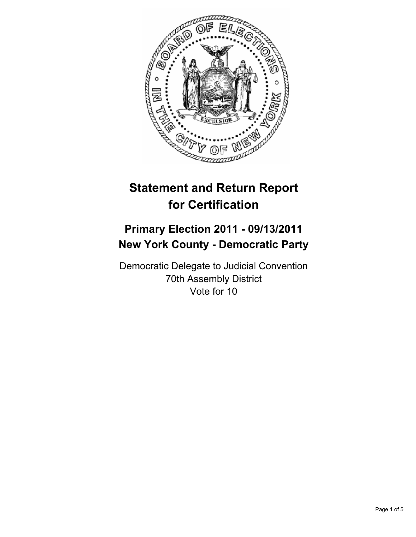

# **Statement and Return Report for Certification**

## **Primary Election 2011 - 09/13/2011 New York County - Democratic Party**

Democratic Delegate to Judicial Convention 70th Assembly District Vote for 10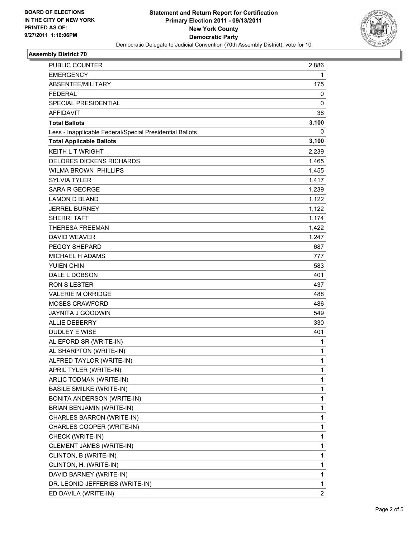

## **Assembly District 70**

| <b>PUBLIC COUNTER</b>                                    | 2,886          |
|----------------------------------------------------------|----------------|
| <b>EMERGENCY</b>                                         | 1              |
| ABSENTEE/MILITARY                                        | 175            |
| <b>FEDERAL</b>                                           | 0              |
| SPECIAL PRESIDENTIAL                                     | 0              |
| <b>AFFIDAVIT</b>                                         | 38             |
| <b>Total Ballots</b>                                     | 3,100          |
| Less - Inapplicable Federal/Special Presidential Ballots | 0              |
| <b>Total Applicable Ballots</b>                          | 3,100          |
| <b>KEITH L T WRIGHT</b>                                  | 2,239          |
| <b>DELORES DICKENS RICHARDS</b>                          | 1,465          |
| <b>WILMA BROWN PHILLIPS</b>                              | 1,455          |
| <b>SYLVIA TYLER</b>                                      | 1,417          |
| SARA R GEORGE                                            | 1,239          |
| <b>LAMON D BLAND</b>                                     | 1,122          |
| <b>JERREL BURNEY</b>                                     | 1,122          |
| <b>SHERRI TAFT</b>                                       | 1,174          |
| <b>THERESA FREEMAN</b>                                   | 1,422          |
| <b>DAVID WEAVER</b>                                      | 1,247          |
| PEGGY SHEPARD                                            | 687            |
| MICHAEL H ADAMS                                          | 777            |
| YUIEN CHIN                                               | 583            |
| DALE L DOBSON                                            | 401            |
| <b>RON S LESTER</b>                                      | 437            |
| <b>VALERIE M ORRIDGE</b>                                 | 488            |
| <b>MOSES CRAWFORD</b>                                    | 486            |
| JAYNITA J GOODWIN                                        | 549            |
| <b>ALLIE DEBERRY</b>                                     | 330            |
| DUDLEY E WISE                                            | 401            |
| AL EFORD SR (WRITE-IN)                                   | 1              |
| AL SHARPTON (WRITE-IN)                                   | $\mathbf{1}$   |
| ALFRED TAYLOR (WRITE-IN)                                 | 1              |
| APRIL TYLER (WRITE-IN)                                   | 1              |
| ARLIC TODMAN (WRITE-IN)                                  | 1              |
| <b>BASILE SMILKE (WRITE-IN)</b>                          | 1              |
| BONITA ANDERSON (WRITE-IN)                               | 1              |
| BRIAN BENJAMIN (WRITE-IN)                                | 1              |
| CHARLES BARRON (WRITE-IN)                                | 1              |
| CHARLES COOPER (WRITE-IN)                                | 1              |
| CHECK (WRITE-IN)                                         | 1              |
| CLEMENT JAMES (WRITE-IN)                                 | 1              |
| CLINTON, B (WRITE-IN)                                    | 1              |
| CLINTON, H. (WRITE-IN)                                   | 1              |
| DAVID BARNEY (WRITE-IN)                                  | 1              |
| DR. LEONID JEFFERIES (WRITE-IN)                          | 1              |
| ED DAVILA (WRITE-IN)                                     | $\overline{c}$ |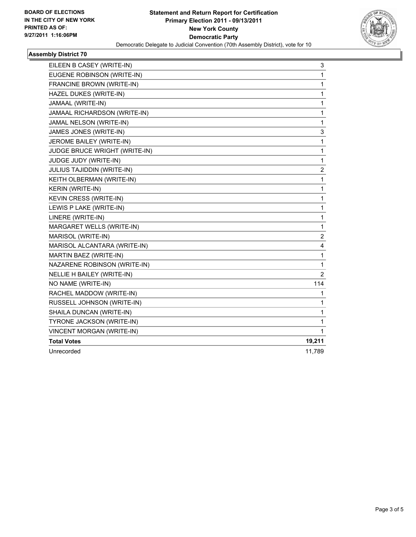

### **Assembly District 70**

| EILEEN B CASEY (WRITE-IN)     | 3            |
|-------------------------------|--------------|
| EUGENE ROBINSON (WRITE-IN)    | 1            |
| FRANCINE BROWN (WRITE-IN)     | 1            |
| HAZEL DUKES (WRITE-IN)        | 1            |
| JAMAAL (WRITE-IN)             | 1            |
| JAMAAL RICHARDSON (WRITE-IN)  | 1            |
| JAMAL NELSON (WRITE-IN)       | $\mathbf{1}$ |
| JAMES JONES (WRITE-IN)        | 3            |
| JEROME BAILEY (WRITE-IN)      | 1            |
| JUDGE BRUCE WRIGHT (WRITE-IN) | 1            |
| JUDGE JUDY (WRITE-IN)         | 1            |
| JULIUS TAJIDDIN (WRITE-IN)    | 2            |
| KEITH OLBERMAN (WRITE-IN)     | 1            |
| KERIN (WRITE-IN)              | 1            |
| KEVIN CRESS (WRITE-IN)        | 1            |
| LEWIS P LAKE (WRITE-IN)       | 1            |
| LINERE (WRITE-IN)             | 1            |
| MARGARET WELLS (WRITE-IN)     | 1            |
| MARISOL (WRITE-IN)            | 2            |
| MARISOL ALCANTARA (WRITE-IN)  | 4            |
| MARTIN BAEZ (WRITE-IN)        | 1            |
| NAZARENE ROBINSON (WRITE-IN)  | 1            |
| NELLIE H BAILEY (WRITE-IN)    | 2            |
| NO NAME (WRITE-IN)            | 114          |
| RACHEL MADDOW (WRITE-IN)      | 1            |
| RUSSELL JOHNSON (WRITE-IN)    | 1            |
| SHAILA DUNCAN (WRITE-IN)      | 1            |
| TYRONE JACKSON (WRITE-IN)     | 1            |
| VINCENT MORGAN (WRITE-IN)     | 1            |
| <b>Total Votes</b>            | 19,211       |
| Unrecorded                    | 11,789       |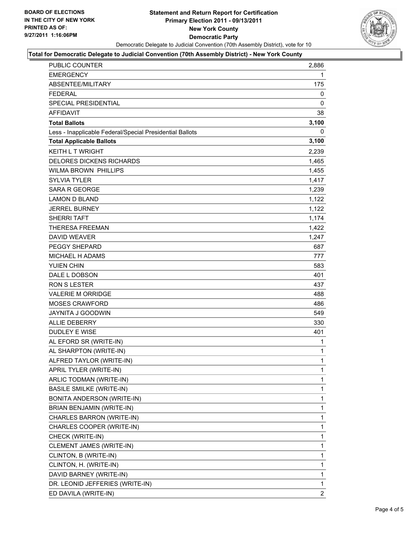

#### **Total for Democratic Delegate to Judicial Convention (70th Assembly District) - New York County**

| <b>PUBLIC COUNTER</b>                                    | 2,886        |
|----------------------------------------------------------|--------------|
| <b>EMERGENCY</b>                                         | 1            |
| ABSENTEE/MILITARY                                        | 175          |
| <b>FEDERAL</b>                                           | 0            |
| <b>SPECIAL PRESIDENTIAL</b>                              | 0            |
| <b>AFFIDAVIT</b>                                         | 38           |
| <b>Total Ballots</b>                                     | 3,100        |
| Less - Inapplicable Federal/Special Presidential Ballots | 0            |
| <b>Total Applicable Ballots</b>                          | 3,100        |
| <b>KEITH L T WRIGHT</b>                                  | 2,239        |
| <b>DELORES DICKENS RICHARDS</b>                          | 1,465        |
| <b>WILMA BROWN PHILLIPS</b>                              | 1,455        |
| <b>SYLVIA TYLER</b>                                      | 1,417        |
| <b>SARA R GEORGE</b>                                     | 1,239        |
| <b>LAMON D BLAND</b>                                     | 1,122        |
| <b>JERREL BURNEY</b>                                     | 1,122        |
| <b>SHERRI TAFT</b>                                       | 1,174        |
| <b>THERESA FREEMAN</b>                                   | 1,422        |
| <b>DAVID WEAVER</b>                                      | 1,247        |
| <b>PEGGY SHEPARD</b>                                     | 687          |
| MICHAEL H ADAMS                                          | 777          |
| YUIEN CHIN                                               | 583          |
| DALE L DOBSON                                            | 401          |
| <b>RON S LESTER</b>                                      | 437          |
| <b>VALERIE M ORRIDGE</b>                                 | 488          |
| <b>MOSES CRAWFORD</b>                                    | 486          |
| <b>JAYNITA J GOODWIN</b>                                 | 549          |
| <b>ALLIE DEBERRY</b>                                     | 330          |
| <b>DUDLEY E WISE</b>                                     | 401          |
| AL EFORD SR (WRITE-IN)                                   | 1            |
| AL SHARPTON (WRITE-IN)                                   | 1            |
| ALFRED TAYLOR (WRITE-IN)                                 | $\mathbf{1}$ |
| APRIL TYLER (WRITE-IN)                                   | 1            |
| ARLIC TODMAN (WRITE-IN)                                  | 1            |
| <b>BASILE SMILKE (WRITE-IN)</b>                          | 1            |
| <b>BONITA ANDERSON (WRITE-IN)</b>                        | 1            |
| BRIAN BENJAMIN (WRITE-IN)                                | 1            |
| CHARLES BARRON (WRITE-IN)                                | 1            |
| CHARLES COOPER (WRITE-IN)                                | 1            |
| CHECK (WRITE-IN)                                         | 1            |
| <b>CLEMENT JAMES (WRITE-IN)</b>                          | 1            |
| CLINTON, B (WRITE-IN)                                    | 1            |
| CLINTON, H. (WRITE-IN)                                   | 1            |
| DAVID BARNEY (WRITE-IN)                                  | 1            |
| DR. LEONID JEFFERIES (WRITE-IN)                          | 1            |
| ED DAVILA (WRITE-IN)                                     | 2            |